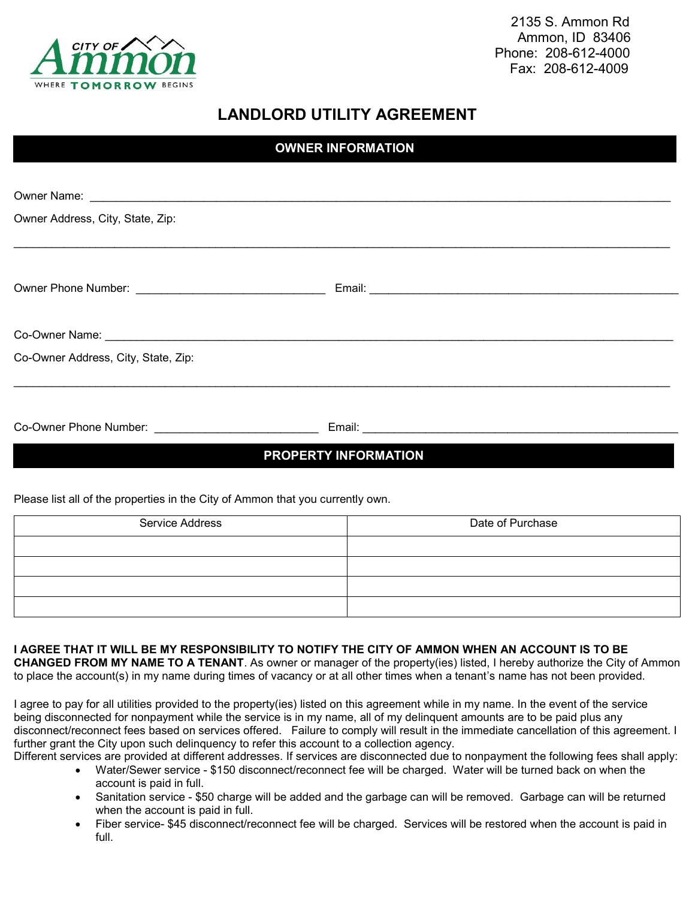

 2135 S. Ammon Rd Ammon, ID 83406 Phone: 208-612-4000 Fax: 208-612-4009

## **LANDLORD UTILITY AGREEMENT**

| <b>OWNER INFORMATION</b>            |  |  |  |
|-------------------------------------|--|--|--|
|                                     |  |  |  |
|                                     |  |  |  |
| Owner Address, City, State, Zip:    |  |  |  |
|                                     |  |  |  |
|                                     |  |  |  |
|                                     |  |  |  |
|                                     |  |  |  |
|                                     |  |  |  |
| Co-Owner Address, City, State, Zip: |  |  |  |
|                                     |  |  |  |
|                                     |  |  |  |
|                                     |  |  |  |
| <b>PROPERTY INFORMATION</b>         |  |  |  |

Please list all of the properties in the City of Ammon that you currently own.

| Service Address | Date of Purchase |  |
|-----------------|------------------|--|
|                 |                  |  |
|                 |                  |  |
|                 |                  |  |
|                 |                  |  |

## **I AGREE THAT IT WILL BE MY RESPONSIBILITY TO NOTIFY THE CITY OF AMMON WHEN AN ACCOUNT IS TO BE**

**CHANGED FROM MY NAME TO A TENANT**. As owner or manager of the property(ies) listed, I hereby authorize the City of Ammon to place the account(s) in my name during times of vacancy or at all other times when a tenant's name has not been provided.

I agree to pay for all utilities provided to the property(ies) listed on this agreement while in my name. In the event of the service being disconnected for nonpayment while the service is in my name, all of my delinquent amounts are to be paid plus any disconnect/reconnect fees based on services offered. Failure to comply will result in the immediate cancellation of this agreement. I further grant the City upon such delinquency to refer this account to a collection agency.

Different services are provided at different addresses. If services are disconnected due to nonpayment the following fees shall apply:

- Water/Sewer service \$150 disconnect/reconnect fee will be charged. Water will be turned back on when the account is paid in full.
- Sanitation service \$50 charge will be added and the garbage can will be removed. Garbage can will be returned when the account is paid in full.
- Fiber service- \$45 disconnect/reconnect fee will be charged. Services will be restored when the account is paid in full.